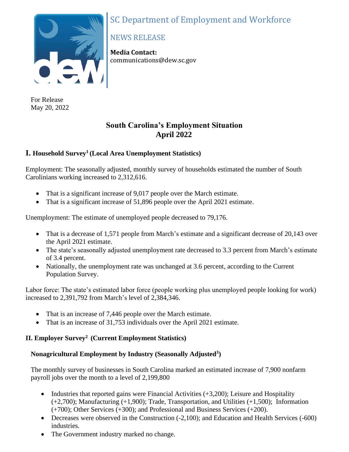



For Release May 20, 2022

# NEWS RELEASE

**Media Contact:** communications@dew.sc.gov

# **South Carolina's Employment Situation April 2022**

# **I. Household Survey<sup>1</sup> (Local Area Unemployment Statistics)**

Employment: The seasonally adjusted, monthly survey of households estimated the number of South Carolinians working increased to 2,312,616.

- That is a significant increase of 9,017 people over the March estimate.
- That is a significant increase of 51,896 people over the April 2021 estimate.

Unemployment: The estimate of unemployed people decreased to 79,176.

- That is a decrease of 1,571 people from March's estimate and a significant decrease of 20,143 over the April 2021 estimate.
- The state's seasonally adjusted unemployment rate decreased to 3.3 percent from March's estimate of 3.4 percent.
- Nationally, the unemployment rate was unchanged at 3.6 percent, according to the Current Population Survey.

Labor force: The state's estimated labor force (people working plus unemployed people looking for work) increased to 2,391,792 from March's level of 2,384,346.

- That is an increase of 7,446 people over the March estimate.
- That is an increase of 31,753 individuals over the April 2021 estimate.

# **II. Employer Survey<sup>2</sup>(Current Employment Statistics)**

# **Nonagricultural Employment by Industry (Seasonally Adjusted<sup>3</sup> )**

The monthly survey of businesses in South Carolina marked an estimated increase of 7,900 nonfarm payroll jobs over the month to a level of 2,199,800

- Industries that reported gains were Financial Activities  $(+3,200)$ ; Leisure and Hospitality (+2,700); Manufacturing (+1,900); Trade, Transportation, and Utilities (+1,500); Information (+700); Other Services (+300); and Professional and Business Services (+200).
- Decreases were observed in the Construction (-2,100); and Education and Health Services (-600) industries.
- The Government industry marked no change.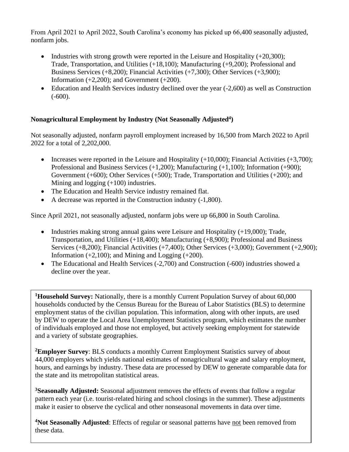From April 2021 to April 2022, South Carolina's economy has picked up 66,400 seasonally adjusted, nonfarm jobs.

- Industries with strong growth were reported in the Leisure and Hospitality  $(+20,300)$ ; Trade, Transportation, and Utilities (+18,100); Manufacturing (+9,200); Professional and Business Services (+8,200); Financial Activities (+7,300); Other Services (+3,900); Information  $(+2,200)$ ; and Government  $(+200)$ .
- Education and Health Services industry declined over the year (-2,600) as well as Construction  $(-600)$ .

# **Nonagricultural Employment by Industry (Not Seasonally Adjusted<sup>4</sup> )**

Not seasonally adjusted, nonfarm payroll employment increased by 16,500 from March 2022 to April 2022 for a total of 2,202,000.

- Increases were reported in the Leisure and Hospitality  $(+10,000)$ ; Financial Activities  $(+3,700)$ ; Professional and Business Services (+1,200); Manufacturing (+1,100); Information (+900); Government (+600); Other Services (+500); Trade, Transportation and Utilities (+200); and Mining and logging (+100) industries.
- The Education and Health Service industry remained flat.
- A decrease was reported in the Construction industry (-1,800).

Since April 2021, not seasonally adjusted, nonfarm jobs were up 66,800 in South Carolina.

- Industries making strong annual gains were Leisure and Hospitality (+19,000); Trade, Transportation, and Utilities (+18,400); Manufacturing (+8,900); Professional and Business Services (+8,200); Financial Activities (+7,400); Other Services (+3,000); Government (+2,900); Information  $(+2,100)$ ; and Mining and Logging  $(+200)$ .
- The Educational and Health Services (-2,700) and Construction (-600) industries showed a decline over the year.

**<sup>1</sup>Household Survey:** Nationally, there is a monthly Current Population Survey of about 60,000 households conducted by the Census Bureau for the Bureau of Labor Statistics (BLS) to determine employment status of the civilian population. This information, along with other inputs, are used by DEW to operate the Local Area Unemployment Statistics program, which estimates the number of individuals employed and those not employed, but actively seeking employment for statewide and a variety of substate geographies.

**<sup>2</sup>Employer Survey**: BLS conducts a monthly Current Employment Statistics survey of about 44,000 employers which yields national estimates of nonagricultural wage and salary employment, hours, and earnings by industry. These data are processed by DEW to generate comparable data for the state and its metropolitan statistical areas.

**<sup>3</sup>Seasonally Adjusted:** Seasonal adjustment removes the effects of events that follow a regular pattern each year (i.e. tourist-related hiring and school closings in the summer). These adjustments make it easier to observe the cyclical and other nonseasonal movements in data over time.

**<sup>4</sup>Not Seasonally Adjusted**: Effects of regular or seasonal patterns have not been removed from these data.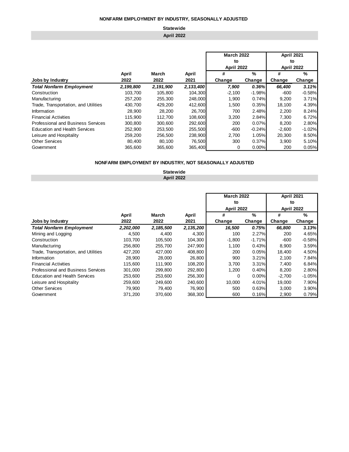### **April 2022 Statewide**

### **April March April # % # % Jobs by Industry 2022 2022 2021 Change Change Change Change** *Total Nonfarm Employment 2,199,800 2,191,900 2,133,400 7,900 0.36% 66,400 3.11%* Construction 103,700 105,800 104,300 -2,100 -1.98% -600 -0.58% Manufacturing 257,200 255,300 248,000 1,900 0.74% 9,200 3.71% Trade, Transportation, and Utilities  $\begin{array}{cccc} 430,700 & 429,200 & 412,600 & 1,500 & 0.35\% \\ 28,900 & 28,200 & 26,700 & 700 & 2.48\% \end{array}$   $\begin{array}{cccc} 1,500 & 0.35\% & 18,100 & 4.39\% \\ 2,200 & 8.24\% & 2.200 & 8.24\% \end{array}$ Information 28,900 28,200 26,700 700 2.48% 2,200 8.24% Financial Activities 115,900 112,700 108,600 3,200 2.84% 7,300 6.72% Professional and Business Services 300,800 300,600 292,600 200 0.07% 8,200 2.80% Education and Health Services 252,900 253,500 255,500 -600 -0.24% -2,600 -1.02% Leisure and Hospitality 259,200 256,500 238,900 2,700 1.05% 20,300 8.50% Other Services 80,400 80,100 76,500 300 0.37% 3,900 5.10% Government 365,600 365,600 365,400 0 0.00% 200 0.05% **April 2022 April 2022 March 2022 April 2021 to to**

#### **NONFARM EMPLOYMENT BY INDUSTRY, NOT SEASONALLY ADJUSTED**

**Statewide April 2022**

|                                      |           |           |           | <b>March 2022</b>       |          | <b>April 2021</b>       |          |  |
|--------------------------------------|-----------|-----------|-----------|-------------------------|----------|-------------------------|----------|--|
|                                      |           |           |           | to<br><b>April 2022</b> |          | to<br><b>April 2022</b> |          |  |
|                                      |           |           |           |                         |          |                         |          |  |
|                                      | April     | March     | April     | #                       | $\%$     |                         | $\%$     |  |
| Jobs by Industry                     | 2022      | 2022      | 2021      | Change                  | Change   | Change                  | Change   |  |
| <b>Total Nonfarm Employment</b>      | 2,202,000 | 2,185,500 | 2,135,200 | 16.500                  | 0.75%    | 66,800                  | 3.13%    |  |
| Mining and Logging                   | 4,500     | 4.400     | 4,300     | 100                     | 2.27%    | 200                     | 4.65%    |  |
| Construction                         | 103,700   | 105,500   | 104,300   | $-1,800$                | $-1.71%$ | -600                    | $-0.58%$ |  |
| Manufacturing                        | 256,800   | 255,700   | 247.900   | 1,100                   | 0.43%    | 8,900                   | 3.59%    |  |
| Trade, Transportation, and Utilities | 427,200   | 427,000   | 408,800   | 200                     | 0.05%    | 18,400                  | 4.50%    |  |
| Information                          | 28,900    | 28,000    | 26,800    | 900                     | 3.21%    | 2,100                   | 7.84%    |  |
| <b>Financial Activities</b>          | 115,600   | 111.900   | 108.200   | 3,700                   | 3.31%    | 7.400                   | 6.84%    |  |
| Professional and Business Services   | 301.000   | 299,800   | 292,800   | 1,200                   | 0.40%    | 8,200                   | 2.80%    |  |
| <b>Education and Health Services</b> | 253,600   | 253,600   | 256,300   | 0                       | 0.00%    | $-2,700$                | $-1.05%$ |  |
| Leisure and Hospitality              | 259.600   | 249.600   | 240,600   | 10.000                  | 4.01%    | 19,000                  | 7.90%    |  |
| <b>Other Services</b>                | 79,900    | 79,400    | 76,900    | 500                     | 0.63%    | 3,000                   | 3.90%    |  |
| Government                           | 371.200   | 370,600   | 368,300   | 600                     | 0.16%    | 2,900                   | 0.79%    |  |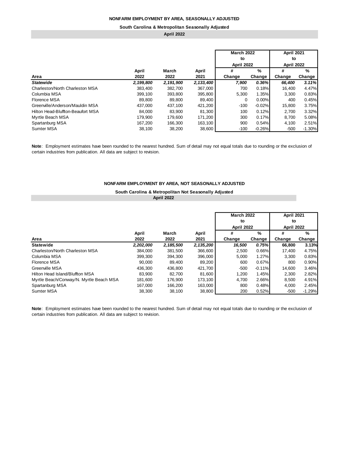#### **South Carolina & Metropolitan Seasonally Adjusted**

**April 2022**

|                                   |           |           |             | <b>March 2022</b> |               | <b>April 2021</b> |          |  |
|-----------------------------------|-----------|-----------|-------------|-------------------|---------------|-------------------|----------|--|
|                                   |           |           |             | to                |               | to                |          |  |
|                                   |           |           |             | <b>April 2022</b> |               | <b>April 2022</b> |          |  |
|                                   | April     | March     | April       | #                 | $\frac{9}{6}$ | #                 | %        |  |
| Area                              | 2022      | 2022      | 2021        | Change            | Change        | Change            | Change   |  |
| <b>Statewide</b>                  | 2,199,800 | 2,191,900 | 2, 133, 400 | 7.900             | 0.36%         | 66,400            | 3.11%    |  |
| Charleston/North Charleston MSA   | 383,400   | 382,700   | 367,000     | 700               | 0.18%         | 16,400            | 4.47%    |  |
| Columbia MSA                      | 399,100   | 393,800   | 395,800     | 5,300             | 1.35%         | 3,300             | 0.83%    |  |
| Florence MSA                      | 89.800    | 89.800    | 89,400      | 0                 | 0.00%         | 400               | 0.45%    |  |
| Greenville/Anderson/Mauldin MSA   | 437,000   | 437,100   | 421,200     | $-100$            | $-0.02%$      | 15,800            | 3.75%    |  |
| Hilton Head-Bluffton-Beaufort MSA | 84.000    | 83.900    | 81,300      | 100               | 0.12%         | 2.700             | 3.32%    |  |
| Myrtle Beach MSA                  | 179.900   | 179.600   | 171.200     | 300               | 0.17%         | 8,700             | 5.08%    |  |
| Spartanburg MSA                   | 167,200   | 166,300   | 163,100     | 900               | 0.54%         | 4,100             | 2.51%    |  |
| <b>Sumter MSA</b>                 | 38.100    | 38.200    | 38,600      | $-100$            | $-0.26%$      | $-500$            | $-1.30%$ |  |

**Note**: Employment estimates have been rounded to the nearest hundred. Sum of detail may not equal totals due to rounding or the exclusion of certain industries from publication. All data are subject to revision.

### **NONFARM EMPLOYMENT BY AREA, NOT SEASONALLY ADJUSTED**

### **South Carolina & Metropolitan Not Seasonally Adjusted April 2022**

|                                         |           |           |           | <b>March 2022</b><br>to<br><b>April 2022</b> |          | <b>April 2021</b><br>to<br><b>April 2022</b> |          |  |
|-----------------------------------------|-----------|-----------|-----------|----------------------------------------------|----------|----------------------------------------------|----------|--|
|                                         | April     | March     | April     | #                                            | $\%$     | #                                            | $\%$     |  |
| Area                                    | 2022      | 2022      | 2021      | Change                                       | Change   | Change                                       | Change   |  |
| <b>Statewide</b>                        | 2,202,000 | 2,185,500 | 2,135,200 | 16,500                                       | 0.75%    | 66,800                                       | 3.13%    |  |
| Charleston/North Charleston MSA         | 384.000   | 381,500   | 366,600   | 2.500                                        | 0.66%    | 17,400                                       | 4.75%    |  |
| Columbia MSA                            | 399,300   | 394.300   | 396,000   | 5,000                                        | 1.27%    | 3,300                                        | 0.83%    |  |
| Florence MSA                            | 90.000    | 89,400    | 89,200    | 600                                          | 0.67%    | 800                                          | 0.90%    |  |
| Greenville MSA                          | 436,300   | 436,800   | 421,700   | $-500$                                       | $-0.11%$ | 14,600                                       | 3.46%    |  |
| Hilton Head Island/Bluffton MSA         | 83,900    | 82,700    | 81,600    | 1,200                                        | 1.45%    | 2,300                                        | 2.82%    |  |
| Myrtle Beach/Conway/N. Myrtle Beach MSA | 181,600   | 176,900   | 173.100   | 4.700                                        | 2.66%    | 8,500                                        | 4.91%    |  |
| Spartanburg MSA                         | 167.000   | 166.200   | 163,000   | 800                                          | 0.48%    | 4,000                                        | 2.45%    |  |
| <b>Sumter MSA</b>                       | 38.300    | 38.100    | 38,800    | 200                                          | 0.52%    | $-500$                                       | $-1.29%$ |  |

**Note**: Employment estimates have been rounded to the nearest hundred. Sum of detail may not equal totals due to rounding or the exclusion of certain industries from publication. All data are subject to revision.